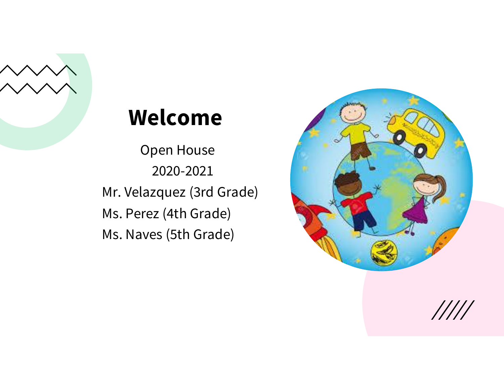

### **Welcome**

Open House 2020-2021 Mr. Velazquez (3rd Grade) Ms. Perez (4th Grade) Ms. Naves (5th Grade)



 $11111$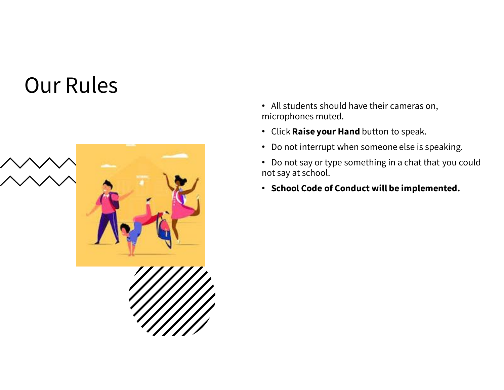## Our Rules



- All students should have their cameras on, microphones muted.
- Click **Raise your Hand** button to speak.
- Do not interrupt when someone else is speaking.
- Do not say or type something in a chat that you could not say at school.
- **School Code of Conduct will be implemented.**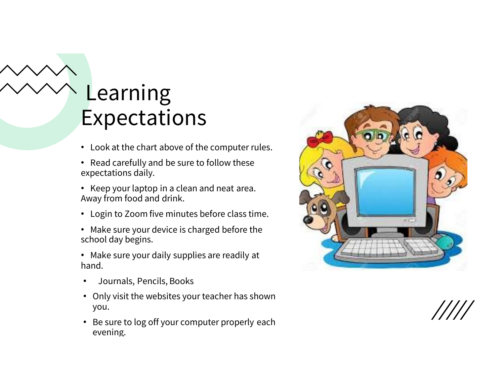## **Learning** Expectations

- Look at the chart above of the computer rules.
- Read carefully and be sure to follow these expectations daily.
- Keep your laptop in a clean and neat area. Away from food and drink.
- Login to Zoom five minutes before class time.
- Make sure your device is charged before the school day begins.
- Make sure your daily supplies are readily at hand.
- Journals, Pencils, Books
- Only visit the websites your teacher has shown you.
- Be sure to log off your computer properly each evening.



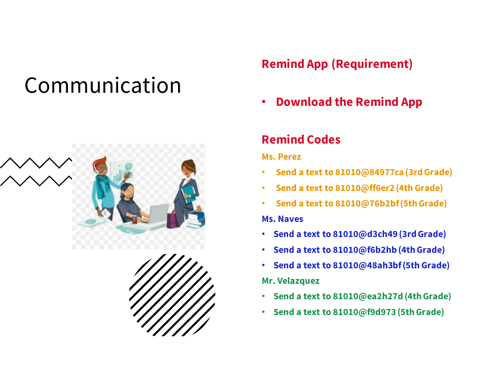# Communication



### **Remind App (Requirement)**

• **Download the Remind App**

### **Remind Codes**

#### **Ms. Perez**

- **Send a text to 81010@84977ca (3rd Grade)**
- **Send a text to 81010@ff6er2 (4th Grade)**
- **Send a text to 81010@76b2bf (5th Grade)**

#### **Ms. Naves**

- **Send a text to 81010@d3ch49 (3rd Grade)**
- **Send a text to 81010@f6b2hb (4th Grade)**
- **Send a text to 81010@48ah3bf (5th Grade) Mr. Velazquez**
- **Send a text to 81010@ea2h27d (4th Grade)**
- **Send a text to 81010@f9d973 (5th Grade)**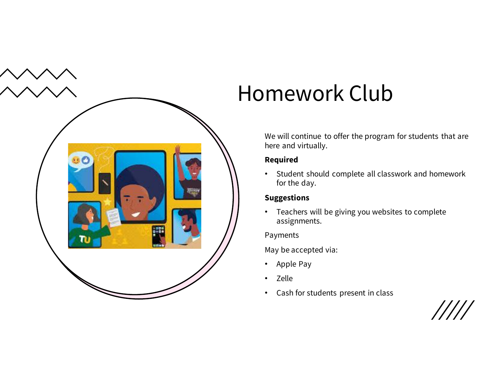

# Homework Club

We will continue to offer the program for students that are here and virtually.

#### **Required**

• Student should complete all classwork and homework for the day.

#### **Suggestions**

• Teachers will be giving you websites to complete assignments.

Payments

May be accepted via:

- Apple Pay
- Zelle
- Cash for students present in class

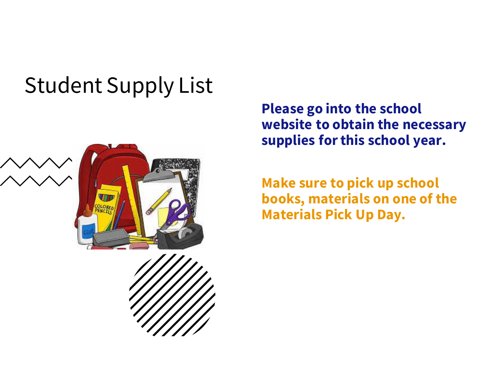## Student Supply List



**Please go into the school website to obtain the necessary supplies for this school year.**

**Make sure to pick up school books, materials on one of the Materials Pick Up Day.**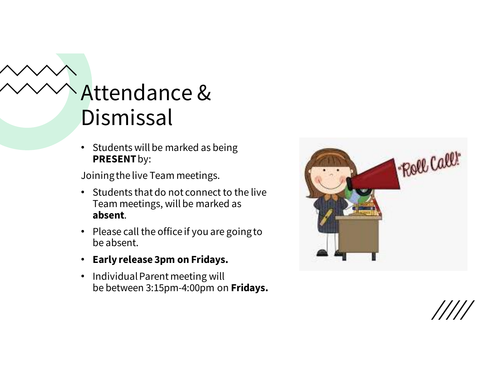# Attendance & Dismissal

• Students will be marked as being **PRESENT**by:

Joining the live Team meetings.

- Students that do not connect to the live Team meetings, will be marked as **absent**.
- Please call the office if you are going to be absent.
- **Early release 3pm on Fridays.**
- Individual Parent meeting will be between 3:15pm-4:00pm on **Fridays.**



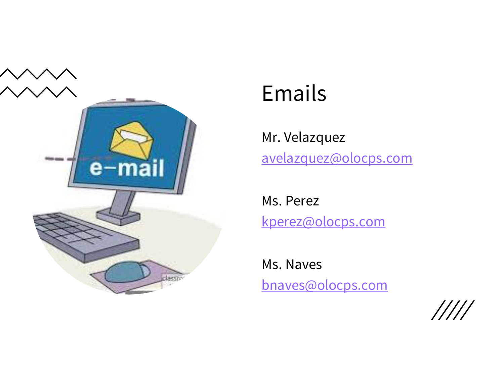

### Emails

Mr. Velazquez avelazquez@olocps.com

Ms. Perez kperez@olocps.com

Ms. Naves bnaves@olocps.com

 $\frac{1}{1}$